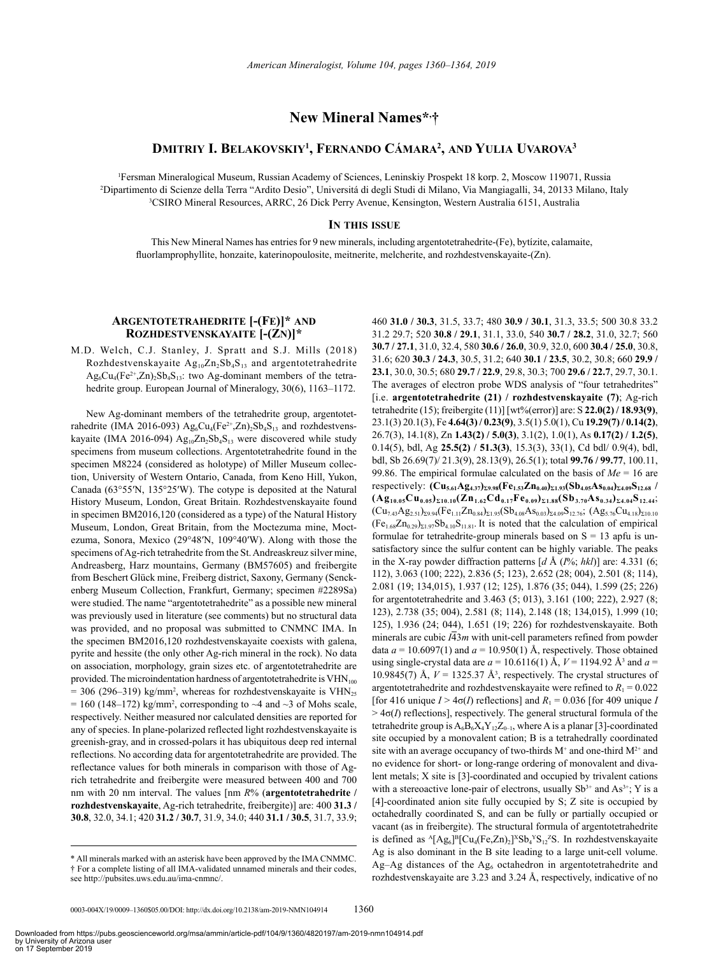# **New Mineral Names\*, †**

## **Dmitriy I. Belakovskiy1 , Fernando Cámara2 , and Yulia Uvarova3**

1 Fersman Mineralogical Museum, Russian Academy of Sciences, Leninskiy Prospekt 18 korp. 2, Moscow 119071, Russia 2 <sup>2</sup>Dipartimento di Scienze della Terra "Ardito Desio", Universitá di degli Studi di Milano, Via Mangiagalli, 34, 20133 Milano, Italy <sup>3</sup>CSIRO Mineral Resources, ARRC, 26 Dick Perry Avenue, Kensington, Western Australia 6151, Australia

## **In this issue**

This New Mineral Names has entries for 9 new minerals, including argentotetrahedrite-(Fe), bytízite, calamaite, fluorlamprophyllite, honzaite, katerinopoulosite, meitnerite, melcherite, and rozhdestvenskayaite-(Zn).

## **Argentotetrahedrite [-(Fe)]\* and Rozhdestvenskayaite [-(Zn)]\***

M.D. Welch, C.J. Stanley, J. Spratt and S.J. Mills (2018) Rozhdestvenskayaite  $Ag_{10}Zn_2Sb_4S_{13}$  and argentotetrahedrite  $Ag_6Cu_4(Fe^{2+},Zn)_2Sb_4S_{13}$ : two Ag-dominant members of the tetrahedrite group. European Journal of Mineralogy, 30(6), 1163–1172.

New Ag-dominant members of the tetrahedrite group, argentotetrahedrite (IMA 2016-093)  $Ag_6Cu_4(Fe^{2+}, Zn)_2Sb_4S_{13}$  and rozhdestvenskayaite (IMA 2016-094)  $Ag<sub>10</sub>Zn<sub>2</sub>Sh<sub>4</sub>S<sub>13</sub>$  were discovered while study specimens from museum collections. Argentotetrahedrite found in the specimen M8224 (considered as holotype) of Miller Museum collection, University of Western Ontario, Canada, from Keno Hill, Yukon, Canada (63°55′N, 135°25′W). The cotype is deposited at the Natural History Museum, London, Great Britain. Rozhdestvenskayaite found in specimen BM2016,120 (considered as a type) of the Natural History Museum, London, Great Britain, from the Moctezuma mine, Moctezuma, Sonora, Mexico (29°48′N, 109°40′W). Along with those the specimens of Ag-rich tetrahedrite from the St. Andreaskreuz silver mine, Andreasberg, Harz mountains, Germany (BM57605) and freibergite from Beschert Glück mine, Freiberg district, Saxony, Germany (Senckenberg Museum Collection, Frankfurt, Germany; specimen #2289Sa) were studied. The name "argentotetrahedrite" as a possible new mineral was previously used in literature (see comments) but no structural data was provided, and no proposal was submitted to CNMNC IMA. In the specimen BM2016,120 rozhdestvenskayaite coexists with galena, pyrite and hessite (the only other Ag-rich mineral in the rock). No data on association, morphology, grain sizes etc. of argentotetrahedrite are provided. The microindentation hardness of argentotetrahedrite is  $VHN<sub>100</sub>$  $= 306$  (296–319) kg/mm<sup>2</sup>, whereas for rozhdestvenskayaite is VHN<sub>25</sub>  $= 160$  (148–172) kg/mm<sup>2</sup>, corresponding to  $\sim$ 4 and  $\sim$ 3 of Mohs scale, respectively. Neither measured nor calculated densities are reported for any of species. In plane-polarized reflected light rozhdestvenskayaite is greenish-gray, and in crossed-polars it has ubiquitous deep red internal reflections. No according data for argentotetrahedrite are provided. The reflectance values for both minerals in comparison with those of Agrich tetrahedrite and freibergite were measured between 400 and 700 nm with 20 nm interval. The values [nm *R*% (**argentotetrahedrite / rozhdestvenskayaite**, Ag-rich tetrahedrite, freibergite)] are: 400 **31.3 / 30.8**, 32.0, 34.1; 420 **31.2 / 30.7**, 31.9, 34.0; 440 **31.1 / 30.5**, 31.7, 33.9;

460 **31.0 / 30.3**, 31.5, 33.7; 480 **30.9 / 30.1**, 31.3, 33.5; 500 30.8 33.2 31.2 29.7; 520 **30.8 / 29.1**, 31.1, 33.0, 540 **30.7 / 28.2**, 31.0, 32.7; 560 **30.7 / 27.1**, 31.0, 32.4, 580 **30.6 / 26.0**, 30.9, 32.0, 600 **30.4 / 25.0**, 30.8, 31.6; 620 **30.3 / 24.3**, 30.5, 31.2; 640 **30.1 / 23.5**, 30.2, 30.8; 660 **29.9 / 23.1**, 30.0, 30.5; 680 **29.7 / 22.9**, 29.8, 30.3; 700 **29.6 / 22.7**, 29.7, 30.1. The averages of electron probe WDS analysis of "four tetrahedrites" [i.e. **argentotetrahedrite (21) / rozhdestvenskayaite (7)**; Ag-rich tetrahedrite (15); freibergite (11)] [wt%(error)] are: S **22.0(2) / 18.93(9)**, 23.1(3) 20.1(3), Fe **4.64(3) / 0.23(9)**, 3.5(1) 5.0(1), Cu **19.29(7) / 0.14(2)**, 26.7(3), 14.1(8), Zn **1.43(2) / 5.0(3)**, 3.1(2), 1.0(1), As **0.17(2) / 1.2(5)**, 0.14(5), bdl, Ag **25.5(2) / 51.3(3)**, 15.3(3), 33(1), Cd bdl/ 0.9(4), bdl, bdl, Sb 26.69(7)/ 21.3(9), 28.13(9), 26.5(1); total **99.76 / 99.77**, 100.11, 99.86. The empirical formulae calculated on the basis of *Me* = 16 are respectively:  $(Cu_{5.61}Ag_{4.37})_{\Sigma 9.98}(Fe_{1.53}Zn_{0.40})_{\Sigma 1.93}(Sb_{4.05}As_{0.04})_{\Sigma 4.09}S_{12.68}$  $(Ag_{10.05}Cu_{0.05})_{\Sigma10.10}(Zn_{1.62}Cd_{0.17}Fe_{0.09})_{\Sigma1.88}(Sb_{3.70}As_{0.34})_{\Sigma4.04}S_{12.44}$ ;  $(Cu_{7.43}Ag_{2.51})_{\Sigma 9.94}(Fe_{1.11}Zn_{0.84})_{\Sigma 1.95}(Sb_{4.08}As_{0.03})_{\Sigma 4.09}S_{12.76}$ ;  $(Ag_{5.76}Cu_{4.18})_{\Sigma 10.10}$  $(Fe<sub>1.68</sub>Zn<sub>0.29</sub>)<sub>Σ1.97</sub>Sb<sub>4.10</sub>S<sub>11.81</sub>$ . It is noted that the calculation of empirical formulae for tetrahedrite-group minerals based on  $S = 13$  apfu is unsatisfactory since the sulfur content can be highly variable. The peaks in the X-ray powder diffraction patterns [*d* Å (*I*%; *hkl*)] are: 4.331 (6; 112), 3.063 (100; 222), 2.836 (5; 123), 2.652 (28; 004), 2.501 (8; 114), 2.081 (19; 134,015), 1.937 (12; 125), 1.876 (35; 044), 1.599 (25; 226) for argentotetrahedrite and 3.463 (5; 013), 3.161 (100; 222), 2.927 (8; 123), 2.738 (35; 004), 2.581 (8; 114), 2.148 (18; 134,015), 1.999 (10; 125), 1.936 (24; 044), 1.651 (19; 226) for rozhdestvenskayaite. Both minerals are cubic  $\overline{I43m}$  with unit-cell parameters refined from powder data  $a = 10.6097(1)$  and  $a = 10.950(1)$  Å, respectively. Those obtained using single-crystal data are  $a = 10.6116(1)$  Å,  $V = 1194.92$  Å<sup>3</sup> and  $a =$ 10.9845(7) Å,  $V = 1325.37$  Å<sup>3</sup>, respectively. The crystal structures of argentotetrahedrite and rozhdestvenskayaite were refined to  $R_1 = 0.022$ [for 416 unique  $I > 4\sigma(I)$  reflections] and  $R_1 = 0.036$  [for 409 unique *I*  $> 4\sigma(I)$  reflections], respectively. The general structural formula of the tetrahedrite group is  $A_6B_6X_4Y_{12}Z_{0-1}$ , where A is a planar [3]-coordinated site occupied by a monovalent cation; B is a tetrahedrally coordinated site with an average occupancy of two-thirds  $M^+$  and one-third  $M^{2+}$  and no evidence for short- or long-range ordering of monovalent and divalent metals; X site is [3]-coordinated and occupied by trivalent cations with a stereoactive lone-pair of electrons, usually  $Sb^{3+}$  and  $As^{3+}$ ; Y is a [4]-coordinated anion site fully occupied by S; Z site is occupied by octahedrally coordinated S, and can be fully or partially occupied or vacant (as in freibergite). The structural formula of argentotetrahedrite is defined as  $^{A}$ [Ag<sub>6</sub>]<sup>B</sup>[Cu<sub>4</sub>(Fe,Zn)<sub>2</sub>]<sup>x</sup>Sb<sub>4</sub><sup>x</sup>S<sub>12</sub><sup>z</sup>S. In rozhdestvenskayaite Ag is also dominant in the B site leading to a large unit-cell volume. Ag–Ag distances of the  $Ag<sub>6</sub>$  octahedron in argentotetrahedrite and rozhdestvenskayaite are 3.23 and 3.24 Å, respectively, indicative of no

<sup>\*</sup> All minerals marked with an asterisk have been approved by the IMA CNMMC. † For a complete listing of all IMA-validated unnamed minerals and their codes, see http://pubsites.uws.edu.au/ima-cnmnc/.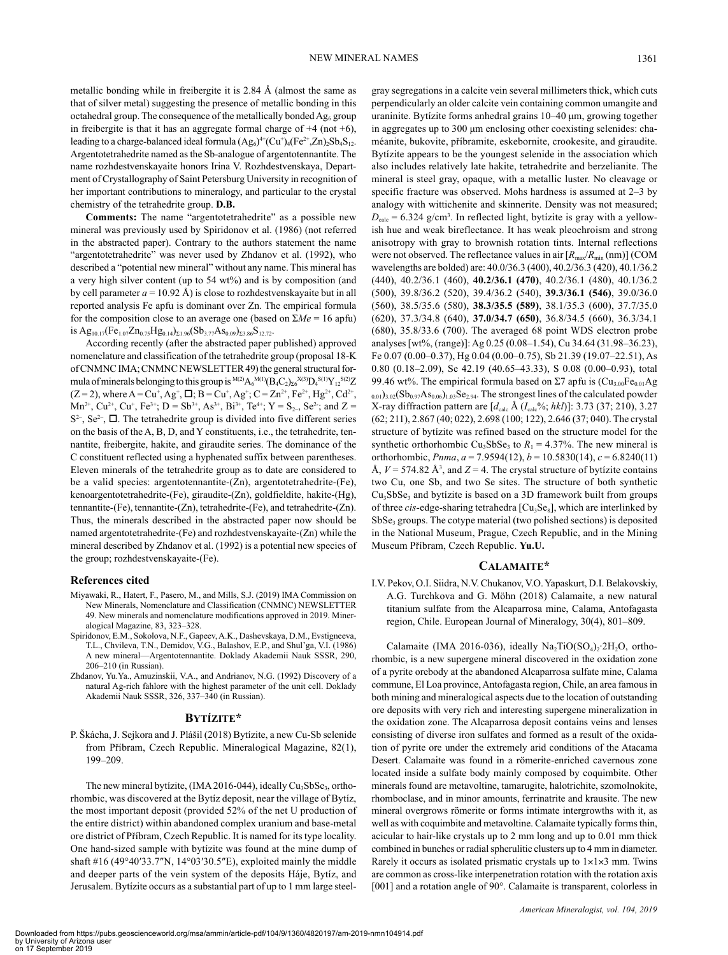metallic bonding while in freibergite it is 2.84 Å (almost the same as that of silver metal) suggesting the presence of metallic bonding in this octahedral group. The consequence of the metallically bonded Ag<sub>6</sub> group in freibergite is that it has an aggregate formal charge of  $+4$  (not  $+6$ ), leading to a charge-balanced ideal formula  $(Ag_6)^{4+}(Cu^+)_4(Fe^{2+},Zn)_2Sb_4S_{12}$ . Argentotetrahedrite named as the Sb-analogue of argentotennantite. The name rozhdestvenskayaite honors Irina V. Rozhdestvenskaya, Department of Crystallography of Saint Petersburg University in recognition of her important contributions to mineralogy, and particular to the crystal chemistry of the tetrahedrite group. **D.B.**

**Comments:** The name "argentotetrahedrite" as a possible new mineral was previously used by Spiridonov et al. (1986) (not referred in the abstracted paper). Contrary to the authors statement the name "argentotetrahedrite" was never used by Zhdanov et al. (1992), who described a "potential new mineral" without any name. This mineral has a very high silver content (up to 54 wt%) and is by composition (and by cell parameter  $a = 10.92 \text{ Å}$ ) is close to rozhdestvenskayaite but in all reported analysis Fe apfu is dominant over Zn. The empirical formula for the composition close to an average one (based on  $\Sigma Me = 16$  apfu) is Ag<sub>10.17</sub>(Fe<sub>1.07</sub>Zn<sub>0.75</sub>Hg<sub>0.14</sub>)<sub> $\Sigma$ 1.96</sub>(Sb<sub>3.77</sub>As<sub>0.09</sub>)<sub> $\Sigma$ 3.86</sub>S<sub>12.72</sub>.

According recently (after the abstracted paper published) approved nomenclature and classification of the tetrahedrite group (proposal 18-K of CNMNC IMA; CNMNC NEWSLETTER 49) the general structural formula of minerals belonging to this group is  $^{M(2)}A_6^{M(1)}(B_4C_2)_{\Sigma}^{K(3)}D_4^{S(1)}Y_{12}^{S(2)}Z$  $(Z=2)$ , where  $A = Cu^{+}$ ,  $Ag^{+}$ ,  $\Box$ ;  $B = Cu^{+}$ ,  $Ag^{+}$ ,  $C = Zn^{2+}$ ,  $Fe^{2+}$ ,  $Hg^{2+}$ ,  $Cd^{2+}$ , Mn<sup>2+</sup>, Cu<sup>2+</sup>, Cu<sup>+</sup>, Fe<sup>3+</sup>; D = Sb<sup>3+</sup>, As<sup>3+</sup>, Bi<sup>3+</sup>, Te<sup>4+</sup>; Y = S<sub>2-</sub>, Se<sup>2</sup>-; and Z =  $S<sup>2</sup>$ ,  $Se<sup>2</sup>$ ,  $\Box$ . The tetrahedrite group is divided into five different series on the basis of the A, B, D, and Y constituents, i.e., the tetrahedrite, tennantite, freibergite, hakite, and giraudite series. The dominance of the C constituent reflected using a hyphenated suffix between parentheses. Eleven minerals of the tetrahedrite group as to date are considered to be a valid species: argentotennantite-(Zn), argentotetrahedrite-(Fe), kenoargentotetrahedrite-(Fe), giraudite-(Zn), goldfieldite, hakite-(Hg), tennantite-(Fe), tennantite-(Zn), tetrahedrite-(Fe), and tetrahedrite-(Zn). Thus, the minerals described in the abstracted paper now should be named argentotetrahedrite-(Fe) and rozhdestvenskayaite-(Zn) while the mineral described by Zhdanov et al. (1992) is a potential new species of the group; rozhdestvenskayaite-(Fe).

#### **References cited**

- Miyawaki, R., Hatert, F., Pasero, M., and Mills, S.J. (2019) IMA Commission on New Minerals, Nomenclature and Classification (CNMNC) NEWSLETTER 49. New minerals and nomenclature modifications approved in 2019. Mineralogical Magazine, 83, 323–328.
- Spiridonov, E.M., Sokolova, N.F., Gapeev, A.K., Dashevskaya, D.M., Evstigneeva, T.L., Chvileva, T.N., Demidov, V.G., Balashov, E.P., and Shul'ga, V.I. (1986) A new mineral—Argentotennantite. Doklady Akademii Nauk SSSR, 290, 206–210 (in Russian).
- Zhdanov, Yu.Ya., Amuzinskii, V.A., and Andrianov, N.G. (1992) Discovery of a natural Ag-rich fahlore with the highest parameter of the unit cell. Doklady Akademii Nauk SSSR, 326, 337–340 (in Russian).

## **Bytízite\***

P. Škácha, J. Sejkora and J. Plášil (2018) Bytízite, a new Cu-Sb selenide from Příbram, Czech Republic. Mineralogical Magazine, 82(1), 199–209.

The new mineral bytízite,  $(IMA 2016-044)$ , ideally  $Cu<sub>3</sub>SbSe<sub>3</sub>$ , orthorhombic, was discovered at the Bytíz deposit, near the village of Bytíz, the most important deposit (provided 52% of the net U production of the entire district) within abandoned complex uranium and base-metal ore district of Příbram, Czech Republic. It is named for its type locality. One hand-sized sample with bytízite was found at the mine dump of shaft #16 (49°40′33.7″N, 14°03′30.5″E), exploited mainly the middle and deeper parts of the vein system of the deposits Háje, Bytíz, and Jerusalem. Bytízite occurs as a substantial part of up to 1 mm large steelgray segregations in a calcite vein several millimeters thick, which cuts perpendicularly an older calcite vein containing common umangite and uraninite. Bytízite forms anhedral grains 10–40 μm, growing together in aggregates up to 300 μm enclosing other coexisting selenides: chaméanite, bukovite, příbramite, eskebornite, crookesite, and giraudite. Bytízite appears to be the youngest selenide in the association which also includes relatively late hakite, tetrahedrite and berzelianite. The mineral is steel gray, opaque, with a metallic luster. No cleavage or specific fracture was observed. Mohs hardness is assumed at 2–3 by analogy with wittichenite and skinnerite. Density was not measured;  $D_{\text{calc}} = 6.324$  g/cm<sup>3</sup>. In reflected light, bytízite is gray with a yellowish hue and weak bireflectance. It has weak pleochroism and strong anisotropy with gray to brownish rotation tints. Internal reflections were not observed. The reflectance values in air  $[R_{\text{max}}/R_{\text{min}} (\text{nm})]$  (COM wavelengths are bolded) are: 40.0/36.3 (400), 40.2/36.3 (420), 40.1/36.2 (440), 40.2/36.1 (460), **40.2/36.1 (470)**, 40.2/36.1 (480), 40.1/36.2 (500), 39.8/36.2 (520), 39.4/36.2 (540), **39.3/36.1 (546)**, 39.0/36.0 (560), 38.5/35.6 (580), **38.3/35.5 (589)**, 38.1/35.3 (600), 37.7/35.0 (620), 37.3/34.8 (640), **37.0/34.7 (650)**, 36.8/34.5 (660), 36.3/34.1 (680), 35.8/33.6 (700). The averaged 68 point WDS electron probe analyses [wt%, (range)]: Ag 0.25 (0.08–1.54), Cu 34.64 (31.98–36.23), Fe 0.07 (0.00–0.37), Hg 0.04 (0.00–0.75), Sb 21.39 (19.07–22.51), As 0.80 (0.18–2.09), Se 42.19 (40.65–43.33), S 0.08 (0.00–0.93), total 99.46 wt%. The empirical formula based on  $\Sigma$ 7 apfu is  $(Cu_{3.00}Fe_{0.01}Ag)$  $_{0.01}$ )<sub>3.02</sub>(Sb<sub>0.97</sub>As<sub>0.06</sub>)<sub>1.03</sub>Se<sub>2.94</sub>. The strongest lines of the calculated powder X-ray diffraction pattern are [*d*calc Å (*I*calc%; *hkl*)]: 3.73 (37; 210), 3.27 (62; 211), 2.867 (40; 022), 2.698 (100; 122), 2.646 (37; 040). The crystal structure of bytízite was refined based on the structure model for the synthetic orthorhombic Cu<sub>3</sub>SbSe<sub>3</sub> to  $R_1 = 4.37\%$ . The new mineral is orthorhombic, *Pnma*, *a* = 7.9594(12), *b* = 10.5830(14), *c* = 6.8240(11) Å,  $V = 574.82$  Å<sup>3</sup>, and  $Z = 4$ . The crystal structure of bytizite contains two Cu, one Sb, and two Se sites. The structure of both synthetic  $Cu<sub>3</sub>SbSe<sub>3</sub>$  and bytizite is based on a 3D framework built from groups of three *cis*-edge-sharing tetrahedra [Cu<sub>3</sub>Se<sub>8</sub>], which are interlinked by  $SbSe<sub>3</sub>$  groups. The cotype material (two polished sections) is deposited in the National Museum, Prague, Czech Republic, and in the Mining Museum Příbram, Czech Republic. **Yu.U.**

#### **Calamaite\***

I.V. Pekov, O.I. Siidra, N.V. Chukanov, V.O. Yapaskurt, D.I. Belakovskiy, A.G. Turchkova and G. Möhn (2018) Calamaite, a new natural titanium sulfate from the Alcaparrosa mine, Calama, Antofagasta region, Chile. European Journal of Mineralogy, 30(4), 801–809.

Calamaite (IMA 2016-036), ideally  $Na<sub>2</sub>TiO(SO<sub>4</sub>)<sub>2</sub>·2H<sub>2</sub>O$ , orthorhombic, is a new supergene mineral discovered in the oxidation zone of a pyrite orebody at the abandoned Alcaparrosa sulfate mine, Calama commune, El Loa province, Antofagasta region, Chile, an area famous in both mining and mineralogical aspects due to the location of outstanding ore deposits with very rich and interesting supergene mineralization in the oxidation zone. The Alcaparrosa deposit contains veins and lenses consisting of diverse iron sulfates and formed as a result of the oxidation of pyrite ore under the extremely arid conditions of the Atacama Desert. Calamaite was found in a römerite-enriched cavernous zone located inside a sulfate body mainly composed by coquimbite. Other minerals found are metavoltine, tamarugite, halotrichite, szomolnokite, rhomboclase, and in minor amounts, ferrinatrite and krausite. The new mineral overgrows römerite or forms intimate intergrowths with it, as well as with coquimbite and metavoltine. Calamaite typically forms thin, acicular to hair-like crystals up to 2 mm long and up to 0.01 mm thick combined in bunches or radial spherulitic clusters up to 4 mm in diameter. Rarely it occurs as isolated prismatic crystals up to  $1 \times 1 \times 3$  mm. Twins are common as cross-like interpenetration rotation with the rotation axis [001] and a rotation angle of 90°. Calamaite is transparent, colorless in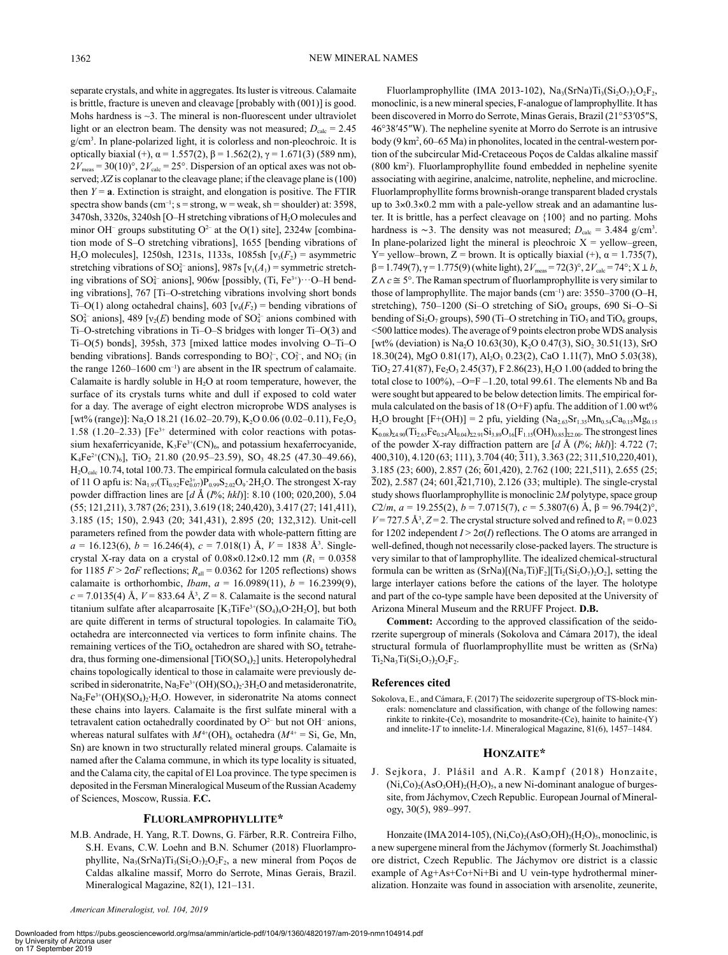separate crystals, and white in aggregates. Its luster is vitreous. Calamaite is brittle, fracture is uneven and cleavage [probably with (001)] is good. Mohs hardness is  $\sim$ 3. The mineral is non-fluorescent under ultraviolet light or an electron beam. The density was not measured;  $D_{\text{calc}} = 2.45$ g/cm3 . In plane-polarized light, it is colorless and non-pleochroic. It is optically biaxial (+),  $\alpha$  = 1.557(2),  $\beta$  = 1.562(2),  $\gamma$  = 1.671(3) (589 nm),  $2V_{\text{meas}} = 30(10)^\circ$ ,  $2V_{\text{calc}} = 25^\circ$ . Dispersion of an optical axes was not observed; *XZ* is coplanar to the cleavage plane; if the cleavage plane is (100) then  $Y = a$ . Extinction is straight, and elongation is positive. The FTIR spectra show bands (cm<sup>-1</sup>; s = strong, w = weak, sh = shoulder) at: 3598, 3470sh, 3320s, 3240sh [O–H stretching vibrations of H2O molecules and minor OH<sup>–</sup> groups substituting  $O^{2-}$  at the O(1) site], 2324w [combination mode of S–O stretching vibrations], 1655 [bending vibrations of H<sub>2</sub>O molecules], 1250sh, 1231s, 1133s, 1085sh  $[v_3(F_2) =$  asymmetric stretching vibrations of SO<sup>2</sup><sup>-</sup> anions], 987s [ $v_1(A_1)$  = symmetric stretching vibrations of SO $_4^2$  anions], 906w [possibly, (Ti, Fe<sup>3+</sup>) $\cdots$ O–H bending vibrations], 767 [Ti–O-stretching vibrations involving short bonds Ti–O(1) along octahedral chains], 603  $[v_4(F_2) = \text{bending vibrations of}]$ SO<sup>2</sup><sup>-</sup> anions], 489 [ $v_2(E)$  bending mode of SO<sup>2</sup><sup>-</sup> anions combined with Ti–O-stretching vibrations in Ti–O–S bridges with longer Ti–O(3) and Ti–O(5) bonds], 395sh, 373 [mixed lattice modes involving O–Ti–O bending vibrations]. Bands corresponding to  $BO_3^{3-}$ ,  $CO_3^{2-}$ , and  $NO_3^-$  (in the range  $1260-1600$  cm<sup>-1</sup>) are absent in the IR spectrum of calamaite. Calamaite is hardly soluble in  $H_2O$  at room temperature, however, the surface of its crystals turns white and dull if exposed to cold water for a day. The average of eight electron microprobe WDS analyses is [wt% (range)]: Na<sub>2</sub>O 18.21 (16.02–20.79), K<sub>2</sub>O 0.06 (0.02–0.11), Fe<sub>2</sub>O<sub>3</sub> 1.58 (1.20–2.33) [Fe<sup>3+</sup> determined with color reactions with potassium hexaferricyanide,  $K_3Fe^{3+}(CN)_6$ , and potassium hexaferrocyanide,  $K_4Fe^{2+}(CN)_6$ ], TiO<sub>2</sub> 21.80 (20.95–23.59), SO<sub>3</sub> 48.25 (47.30–49.66),  $H_2O_{\text{calc}}$  10.74, total 100.73. The empirical formula calculated on the basis of 11 O apfu is:  $\text{Na}_{1.97}(\text{Ti}_{0.92}\text{Fe}_{0.07}^{3+})\text{P}_{0.99}\text{S}_{2.02}\text{O}_9$  2H<sub>2</sub>O. The strongest X-ray powder diffraction lines are [*d* Å (*I*%; *hkl*)]: 8.10 (100; 020,200), 5.04 (55; 121,211), 3.787 (26; 231), 3.619 (18; 240,420), 3.417 (27; 141,411), 3.185 (15; 150), 2.943 (20; 341,431), 2.895 (20; 132,312). Unit-cell parameters refined from the powder data with whole-pattern fitting are  $a = 16.123(6)$ ,  $b = 16.246(4)$ ,  $c = 7.018(1)$  Å,  $V = 1838$  Å<sup>3</sup>. Singlecrystal X-ray data on a crystal of  $0.08 \times 0.12 \times 0.12$  mm ( $R_1 = 0.0358$ ) for 1185  $F > 2\sigma F$  reflections;  $R_{all} = 0.0362$  for 1205 reflections) shows calamaite is orthorhombic, *Ibam*,  $a = 16.0989(11)$ ,  $b = 16.2399(9)$ ,  $c = 7.0135(4)$  Å,  $V = 833.64$  Å<sup>3</sup>,  $Z = 8$ . Calamaite is the second natural titanium sulfate after alcaparrosaite  $[K_3TiFe^{3+}(SO_4)_4O·2H_2O]$ , but both are quite different in terms of structural topologies. In calamaite  $TiO<sub>6</sub>$ octahedra are interconnected via vertices to form infinite chains. The remaining vertices of the  $TiO<sub>6</sub>$  octahedron are shared with  $SO<sub>4</sub>$  tetrahedra, thus forming one-dimensional  $[TiO(SO<sub>4</sub>)<sub>2</sub>]$  units. Heteropolyhedral chains topologically identical to those in calamaite were previously described in sideronatrite,  $Na<sub>2</sub>Fe<sup>3+</sup>(OH)(SO<sub>4</sub>)<sub>2</sub>·3H<sub>2</sub>O$  and metasideronatrite,  $Na<sub>2</sub>Fe<sup>3+</sup>(OH)(SO<sub>4</sub>)<sub>2</sub>·H<sub>2</sub>O. However, in sideronartite Na atoms connect$ these chains into layers. Calamaite is the first sulfate mineral with a tetravalent cation octahedrally coordinated by  $O<sup>2-</sup>$  but not  $OH<sup>-</sup>$  anions, whereas natural sulfates with  $M^{4+}(\text{OH})_6$  octahedra ( $M^{4+} = \text{Si}$ , Ge, Mn, Sn) are known in two structurally related mineral groups. Calamaite is named after the Calama commune, in which its type locality is situated, and the Calama city, the capital of El Loa province. The type specimen is deposited in the Fersman Mineralogical Museum of the Russian Academy of Sciences, Moscow, Russia. **F.C.**

#### **Fluorlamprophyllite\***

M.B. Andrade, H. Yang, R.T. Downs, G. Färber, R.R. Contreira Filho, S.H. Evans, C.W. Loehn and B.N. Schumer (2018) Fluorlamprophyllite,  $Na_3(SrNa)Ti_3(Si_2O_7)_2O_2F_2$ , a new mineral from Poços de Caldas alkaline massif, Morro do Serrote, Minas Gerais, Brazil. Mineralogical Magazine, 82(1), 121–131.

Fluorlamprophyllite (IMA 2013-102), Na<sub>3</sub>(SrNa)Ti<sub>3</sub>(Si<sub>2</sub>O<sub>7</sub>)<sub>2</sub>O<sub>2</sub>F<sub>2</sub>, monoclinic, is a new mineral species, F-analogue of lamprophyllite. It has been discovered in Morro do Serrote, Minas Gerais, Brazil (21°53′05″S, 46°38′45″W). The nepheline syenite at Morro do Serrote is an intrusive body (9 km2 , 60–65 Ma) in phonolites, located in the central-western portion of the subcircular Mid-Cretaceous Poços de Caldas alkaline massif (800 km2 ). Fluorlamprophyllite found embedded in nepheline syenite associating with aegirine, analcime, natrolite, nepheline, and microcline. Fluorlamprophyllite forms brownish-orange transparent bladed crystals up to 3×0.3×0.2 mm with a pale-yellow streak and an adamantine luster. It is brittle, has a perfect cleavage on {100} and no parting. Mohs hardness is ~3. The density was not measured;  $D_{\text{calc}} = 3.484 \text{ g/cm}^3$ . In plane-polarized light the mineral is pleochroic  $X =$  yellow–green, Y= yellow–brown, Z = brown. It is optically biaxial (+),  $\alpha$  = 1.735(7),  $β = 1.749(7)$ ,  $γ = 1.775(9)$  (white light),  $2V_{meas} = 72(3)°$ ,  $2V_{calc} = 74°$ ;  $X ⊥ b$ ,  $Z \wedge c \cong 5^{\circ}$ . The Raman spectrum of fluorlamprophyllite is very similar to those of lamprophyllite. The major bands (cm<sup>-1</sup>) are:  $3550-3700$  (O-H, stretching),  $750-1200$  (Si-O stretching of SiO<sub>4</sub> groups,  $690$  Si-O-Si bending of  $Si<sub>2</sub>O<sub>7</sub>$  groups), 590 (Ti–O stretching in TiO<sub>5</sub> and TiO<sub>6</sub> groups, <500 lattice modes). The average of 9 points electron probe WDS analysis [wt% (deviation) is Na<sub>2</sub>O 10.63(30), K<sub>2</sub>O 0.47(3), SiO<sub>2</sub> 30.51(13), SrO 18.30(24), MgO 0.81(17), Al2O3 0.23(2), CaO 1.11(7), MnO 5.03(38),  $TiO<sub>2</sub> 27.41(87)$ , Fe<sub>2</sub>O<sub>3</sub> 2.45(37), F 2.86(23), H<sub>2</sub>O 1.00 (added to bring the total close to  $100\%$ ,  $-O=F-1.20$ , total 99.61. The elements Nb and Ba were sought but appeared to be below detection limits. The empirical formula calculated on the basis of 18 (O+F) apfu. The addition of 1.00 wt%  $H_2O$  brought [F+(OH)] = 2 pfu, yielding (Na<sub>2.63</sub>Sr<sub>1.35</sub>Mn<sub>0.54</sub>Ca<sub>0.15</sub>Mg<sub>0.15</sub>  $K_{0.08}$ <sub>24.90</sub>(Ti<sub>2.63</sub>Fe<sub>0.24</sub>Al<sub>0.04</sub>)<sub>22.91</sub>Si<sub>3.89</sub>O<sub>16</sub>[F<sub>1.15</sub>(OH)<sub>0.85</sub>]<sub>22.00</sub>. The strongest lines of the powder X-ray diffraction pattern are [*d* Å (*I*%; *hkl*)]: 4.722 (7; 400,310), 4.120 (63; 111), 3.704 (40; 311), 3.363 (22; 311,510,220,401), 3.185 (23; 600), 2.857 (26; 601,420), 2.762 (100; 221,511), 2.655 (25;  $\overline{2}02$ , 2.587 (24; 601, $\overline{4}21$ ,710), 2.126 (33; multiple). The single-crystal study shows fluorlamprophyllite is monoclinic 2*M* polytype, space group *C*2/*m*, *a* = 19.255(2), *b* = 7.0715(7), *c* = 5.3807(6) Å, β = 96.794(2)°,  $V = 727.5 \text{ Å}^3$ ,  $Z = 2$ . The crystal structure solved and refined to  $R_1 = 0.023$ for 1202 independent  $I > 2\sigma(I)$  reflections. The O atoms are arranged in well-defined, though not necessarily close-packed layers. The structure is very similar to that of lamprophyllite. The idealized chemical-structural formula can be written as  $(SrNa)[(Na<sub>3</sub>Ti)F<sub>2</sub>][Ti<sub>2</sub>(Si<sub>2</sub>O<sub>7</sub>)<sub>2</sub>O<sub>2</sub>],$  setting the large interlayer cations before the cations of the layer. The holotype and part of the co-type sample have been deposited at the University of Arizona Mineral Museum and the RRUFF Project. **D.B.**

**Comment:** According to the approved classification of the seidorzerite supergroup of minerals (Sokolova and Cámara 2017), the ideal structural formula of fluorlamprophyllite must be written as (SrNa)  $Ti<sub>2</sub>Na<sub>3</sub>Ti(Si<sub>2</sub>O<sub>7</sub>)<sub>2</sub>O<sub>2</sub>F<sub>2</sub>.$ 

#### **References cited**

Sokolova, E., and Cámara, F. (2017) The seidozerite supergroup of TS-block minerals: nomenclature and classification, with change of the following names: rinkite to rinkite-(Ce), mosandrite to mosandrite-(Ce), hainite to hainite-(Y) and innelite-1*T* to innelite-1*A*. Mineralogical Magazine, 81(6), 1457–1484.

#### **Honzaite\***

J. Sejkora, J. Plášil and A.R. Kampf (2018) Honzaite,  $(Ni,Co)<sub>2</sub>(AsO<sub>3</sub>OH)<sub>2</sub>(H<sub>2</sub>O)<sub>5</sub>$ , a new Ni-dominant analogue of burgessite, from Jáchymov, Czech Republic. European Journal of Mineralogy, 30(5), 989–997.

Honzaite (IMA 2014-105), (Ni,Co)<sub>2</sub>(AsO<sub>3</sub>OH)<sub>2</sub>(H<sub>2</sub>O)<sub>5</sub>, monoclinic, is a new supergene mineral from the Jáchymov (formerly St. Joachimsthal) ore district, Czech Republic. The Jáchymov ore district is a classic example of Ag+As+Co+Ni+Bi and U vein-type hydrothermal mineralization. Honzaite was found in association with arsenolite, zeunerite,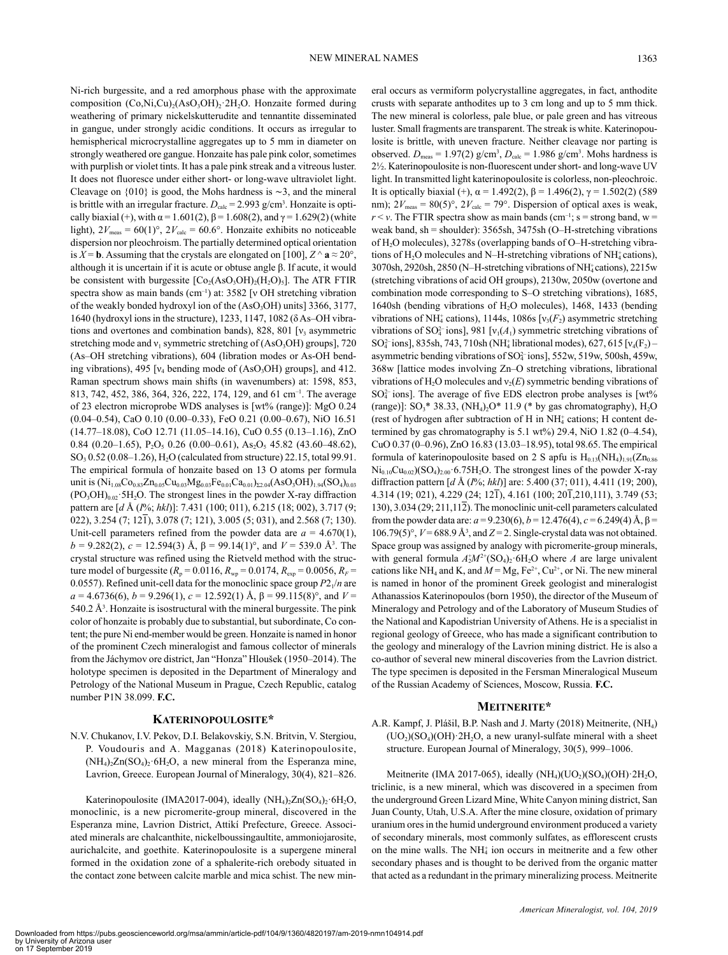Ni-rich burgessite, and a red amorphous phase with the approximate composition  $(Co,Ni,Cu)_{2}(AsO_{3}OH)_{2}$  2H<sub>2</sub>O. Honzaite formed during weathering of primary nickelskutterudite and tennantite disseminated in gangue, under strongly acidic conditions. It occurs as irregular to hemispherical microcrystalline aggregates up to 5 mm in diameter on strongly weathered ore gangue. Honzaite has pale pink color, sometimes with purplish or violet tints. It has a pale pink streak and a vitreous luster. It does not fluoresce under either short- or long-wave ultraviolet light. Cleavage on {010} is good, the Mohs hardness is ∼3, and the mineral is brittle with an irregular fracture.  $D_{\text{calc}} = 2.993 \text{ g/cm}^3$ . Honzaite is optically biaxial (+), with  $\alpha = 1.601(2)$ ,  $\beta = 1.608(2)$ , and  $\gamma = 1.629(2)$  (white light),  $2V_{\text{meas}} = 60(1)^\circ$ ,  $2V_{\text{calc}} = 60.6^\circ$ . Honzaite exhibits no noticeable dispersion nor pleochroism. The partially determined optical orientation is *X* = **b**. Assuming that the crystals are elongated on [100],  $Z \wedge a \approx 20^{\circ}$ , although it is uncertain if it is acute or obtuse angle β. If acute, it would be consistent with burgessite  $[Co<sub>2</sub>(AsO<sub>3</sub>OH)<sub>2</sub>(H<sub>2</sub>O)<sub>5</sub>]$ . The ATR FTIR spectra show as main bands (cm<sup>-1</sup>) at: 3582 [v OH stretching vibration of the weakly bonded hydroxyl ion of the  $(AsO<sub>3</sub>OH)$  units] 3366, 3177, 1640 (hydroxyl ions in the structure), 1233, 1147, 1082 (δ As–OH vibrations and overtones and combination bands), 828, 801  $[v_3]$  asymmetric stretching mode and  $v_1$  symmetric stretching of (AsO<sub>3</sub>OH) groups], 720 (As–OH stretching vibrations), 604 (libration modes or As-OH bending vibrations), 495  $[v_4]$  bending mode of  $(AsO_3OH)$  groups], and 412. Raman spectrum shows main shifts (in wavenumbers) at: 1598, 853, 813, 742, 452, 386, 364, 326, 222, 174, 129, and 61 cm–1. The average of 23 electron microprobe WDS analyses is [wt% (range)]: MgO 0.24 (0.04–0.54), CaO 0.10 (0.00–0.33), FeO 0.21 (0.00–0.67), NiO 16.51 (14.77–18.08), CoO 12.71 (11.05–14.16), CuO 0.55 (0.13–1.16), ZnO 0.84 (0.20–1.65),  $P_2O_5$  0.26 (0.00–0.61), As<sub>2</sub>O<sub>5</sub> 45.82 (43.60–48.62), SO3 0.52 (0.08–1.26), H2O (calculated from structure) 22.15, total 99.91. The empirical formula of honzaite based on 13 O atoms per formula unit is  $(Ni_{1.08}Co_{0.83}Zn_{0.05}Cu_{0.03}Mg_{0.03}Fe_{0.01}Ca_{0.01})_{\Sigma2.04}(AsO_3OH)_{1.94}(SO_4)_{0.03}$  $(PO<sub>3</sub>OH)<sub>0.02</sub>·5H<sub>2</sub>O$ . The strongest lines in the powder X-ray diffraction pattern are [*d* Å (*I*%; *hkl*)]: 7.431 (100; 011), 6.215 (18; 002), 3.717 (9; 022), 3.254 (7; 121), 3.078 (7; 121), 3.005 (5; 031), and 2.568 (7; 130). Unit-cell parameters refined from the powder data are  $a = 4.670(1)$ , *b* = 9.282(2), *c* = 12.594(3) Å,  $β = 99.14(1)°$ , and  $V = 539.0$  Å<sup>3</sup>. The crystal structure was refined using the Rietveld method with the structure model of burgessite ( $R_p = 0.0116$ ,  $R_{wp} = 0.0174$ ,  $R_{exp} = 0.0056$ ,  $R_F =$ 0.0557). Refined unit-cell data for the monoclinic space group  $P2<sub>1</sub>/n$  are  $a = 4.6736(6)$ ,  $b = 9.296(1)$ ,  $c = 12.592(1)$  Å,  $\beta = 99.115(8)$ °, and  $V =$  $540.2 \text{ Å}^3$ . Honzaite is isostructural with the mineral burgessite. The pink color of honzaite is probably due to substantial, but subordinate, Co content; the pure Ni end-member would be green. Honzaite is named in honor of the prominent Czech mineralogist and famous collector of minerals from the Jáchymov ore district, Jan "Honza" Hloušek (1950–2014). The holotype specimen is deposited in the Department of Mineralogy and Petrology of the National Museum in Prague, Czech Republic, catalog number P1N 38.099. **F.C.**

## **Katerinopoulosite\***

N.V. Chukanov, I.V. Pekov, D.I. Belakovskiy, S.N. Britvin, V. Stergiou, P. Voudouris and A. Magganas (2018) Katerinopoulosite,  $(NH_4)_2Zn(SO_4)_2.6H_2O$ , a new mineral from the Esperanza mine, Lavrion, Greece. European Journal of Mineralogy, 30(4), 821–826.

Katerinopoulosite (IMA2017-004), ideally  $(NH_4)_2Zn(SO_4)_2.6H_2O$ , monoclinic, is a new picromerite-group mineral, discovered in the Esperanza mine, Lavrion District, Attikí Prefecture, Greece. Associated minerals are chalcanthite, nickelboussingaultite, ammoniojarosite, aurichalcite, and goethite. Katerinopoulosite is a supergene mineral formed in the oxidation zone of a sphalerite-rich orebody situated in the contact zone between calcite marble and mica schist. The new mineral occurs as vermiform polycrystalline aggregates, in fact, anthodite crusts with separate anthodites up to 3 cm long and up to 5 mm thick. The new mineral is colorless, pale blue, or pale green and has vitreous luster. Small fragments are transparent. The streak is white. Katerinopoulosite is brittle, with uneven fracture. Neither cleavage nor parting is observed.  $D_{\text{meas}} = 1.97(2)$  g/cm<sup>3</sup>,  $D_{\text{calc}} = 1.986$  g/cm<sup>3</sup>. Mohs hardness is 2½. Katerinopoulosite is non-fluorescent under short- and long-wave UV light. In transmitted light katerinopoulosite is colorless, non-pleochroic. It is optically biaxial (+),  $\alpha$  = 1.492(2),  $\beta$  = 1.496(2),  $\gamma$  = 1.502(2) (589 nm);  $2V_{\text{meas}} = 80(5)^\circ$ ,  $2V_{\text{calc}} = 79^\circ$ . Dispersion of optical axes is weak,  $r < v$ . The FTIR spectra show as main bands (cm<sup>-1</sup>; s = strong band, w = weak band, sh = shoulder):  $3565sh$ ,  $3475sh$  (O–H-stretching vibrations of H2O molecules), 3278s (overlapping bands of O–H-stretching vibrations of  $H_2O$  molecules and N–H-stretching vibrations of NH<sup>+</sup><sub>4</sub> cations), 3070sh, 2920sh, 2850 (N-H-stretching vibrations of NH<sup>+</sup> cations), 2215w (stretching vibrations of acid OH groups), 2130w, 2050w (overtone and combination mode corresponding to S–O stretching vibrations), 1685, 1640sh (bending vibrations of H2O molecules), 1468, 1433 (bending vibrations of NH<sup> $+$ </sup> cations), 1144s, 1086s [ $v_3(F_2)$  asymmetric stretching vibrations of SO<sub>4</sub><sup>-</sup>ions], 981 [ $v_1(A_1)$  symmetric stretching vibrations of  $SO_4^{2-}$ ions], 835sh, 743, 710sh (NH<sup>+</sup><sub>4</sub> librational modes), 627, 615 [ $v_4$ (F<sub>2</sub>) – asymmetric bending vibrations of SO<sup>2</sup><sup>-</sup>ions], 552w, 519w, 500sh, 459w, 368w [lattice modes involving Zn–O stretching vibrations, librational vibrations of  $H_2O$  molecules and  $v_2(E)$  symmetric bending vibrations of  $SO<sub>4</sub><sup>2</sup>$  ions]. The average of five EDS electron probe analyses is [wt% (range)]:  $SO_3$ <sup>\*</sup> 38.33, (NH<sub>4</sub>)<sub>2</sub>O<sup>\*</sup> 11.9 (\* by gas chromatography), H<sub>2</sub>O (rest of hydrogen after subtraction of  $H$  in  $NH<sub>4</sub>$  cations;  $H$  content determined by gas chromatography is 5.1 wt%) 29.4, NiO 1.82 (0–4.54), CuO 0.37 (0–0.96), ZnO 16.83 (13.03–18.95), total 98.65. The empirical formula of katerinopoulosite based on 2 S apfu is  $H_{0.13}(NH_4)_{1.91}(Zn_{0.86}$  $Ni<sub>0.10</sub>Cu<sub>0.02</sub>)(SO<sub>4</sub>)<sub>2.00</sub>·6.75H<sub>2</sub>O$ . The strongest lines of the powder X-ray diffraction pattern [*d* Å (*I*%; *hkl*)] are: 5.400 (37; 011), 4.411 (19; 200), 4.314 (19; 021), 4.229 (24; 121), 4.161 (100; 201,210,111), 3.749 (53; 130), 3.034 (29; 211,112). The monoclinic unit-cell parameters calculated from the powder data are:  $a = 9.230(6)$ ,  $b = 12.476(4)$ ,  $c = 6.249(4)$  A,  $β =$ 106.79(5)°,  $V = 688.9 \text{ Å}^3$ , and  $Z = 2$ . Single-crystal data was not obtained. Space group was assigned by analogy with picromerite-group minerals, with general formula  $A_2^+M^{2+}(\text{SO}_4)_2$  6H<sub>2</sub>O where *A* are large univalent cations like NH<sub>4</sub> and K, and  $M = Mg$ ,  $Fe^{2+}$ ,  $Cu^{2+}$ , or Ni. The new mineral is named in honor of the prominent Greek geologist and mineralogist Athanassios Katerinopoulos (born 1950), the director of the Museum of Mineralogy and Petrology and of the Laboratory of Museum Studies of the National and Kapodistrian University of Athens. He is a specialist in regional geology of Greece, who has made a significant contribution to the geology and mineralogy of the Lavrion mining district. He is also a co-author of several new mineral discoveries from the Lavrion district. The type specimen is deposited in the Fersman Mineralogical Museum of the Russian Academy of Sciences, Moscow, Russia. **F.C.**

### **Meitnerite\***

A.R. Kampf, J. Plášil, B.P. Nash and J. Marty (2018) Meitnerite, (NH4)  $(UO<sub>2</sub>)(SO<sub>4</sub>)(OH)$ <sup>2</sup>H<sub>2</sub>O, a new uranyl-sulfate mineral with a sheet structure. European Journal of Mineralogy, 30(5), 999–1006.

Meitnerite (IMA 2017-065), ideally  $(NH<sub>4</sub>)(UO<sub>2</sub>)(SO<sub>4</sub>)(OH)$  2H<sub>2</sub>O, triclinic, is a new mineral, which was discovered in a specimen from the underground Green Lizard Mine, White Canyon mining district, San Juan County, Utah, U.S.A. After the mine closure, oxidation of primary uranium ores in the humid underground environment produced a variety of secondary minerals, most commonly sulfates, as efflorescent crusts on the mine walls. The NH<sup>+</sup> ion occurs in meitnerite and a few other secondary phases and is thought to be derived from the organic matter that acted as a redundant in the primary mineralizing process. Meitnerite